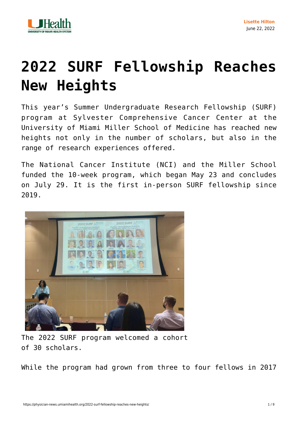

# **[2022 SURF Fellowship Reaches](https://physician-news.umiamihealth.org/2022-surf-fellowship-reaches-new-heights/) [New Heights](https://physician-news.umiamihealth.org/2022-surf-fellowship-reaches-new-heights/)**

This year's Summer Undergraduate Research Fellowship (SURF) program at Sylvester Comprehensive Cancer Center at the University of Miami Miller School of Medicine has reached new heights not only in the number of scholars, but also in the range of research experiences offered.

The National Cancer Institute (NCI) and the Miller School funded the 10-week program, which began May 23 and concludes on July 29. It is the first in-person SURF fellowship since 2019.



The 2022 SURF program welcomed a cohort of 30 scholars.

While the program had grown from three to four fellows in 2017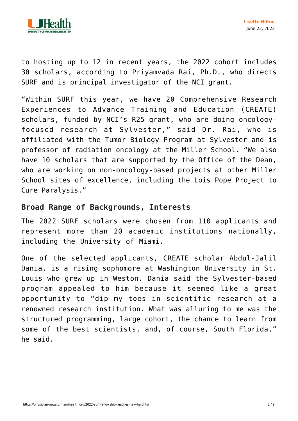

to hosting up to 12 in recent years, the 2022 cohort includes 30 scholars, according to Priyamvada Rai, Ph.D., who directs SURF and is principal investigator of the NCI grant.

"Within SURF this year, we have 20 Comprehensive Research Experiences to Advance Training and Education (CREATE) scholars, funded by NCI's R25 grant, who are doing oncologyfocused research at Sylvester," said Dr. Rai, who is affiliated with the Tumor Biology Program at Sylvester and is professor of radiation oncology at the Miller School. "We also have 10 scholars that are supported by the Office of the Dean, who are working on non-oncology-based projects at other Miller School sites of excellence, including the Lois Pope Project to Cure Paralysis."

### **Broad Range of Backgrounds, Interests**

The 2022 SURF scholars were chosen from 110 applicants and represent more than 20 academic institutions nationally, including the University of Miami.

One of the selected applicants, CREATE scholar Abdul-Jalil Dania, is a rising sophomore at Washington University in St. Louis who grew up in Weston. Dania said the Sylvester-based program appealed to him because it seemed like a great opportunity to "dip my toes in scientific research at a renowned research institution. What was alluring to me was the structured programming, large cohort, the chance to learn from some of the best scientists, and, of course, South Florida," he said.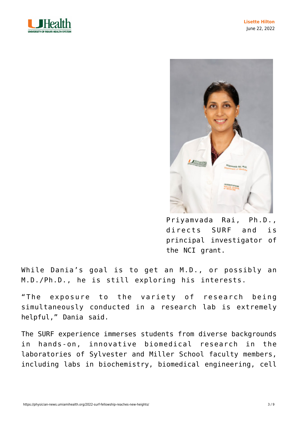



Priyamvada Rai, Ph.D., directs SURF and is principal investigator of the NCI grant.

While Dania's goal is to get an M.D., or possibly an M.D./Ph.D., he is still exploring his interests.

"The exposure to the variety of research being simultaneously conducted in a research lab is extremely helpful," Dania said.

The SURF experience immerses students from diverse backgrounds in hands-on, innovative biomedical research in the laboratories of Sylvester and Miller School faculty members, including labs in biochemistry, biomedical engineering, cell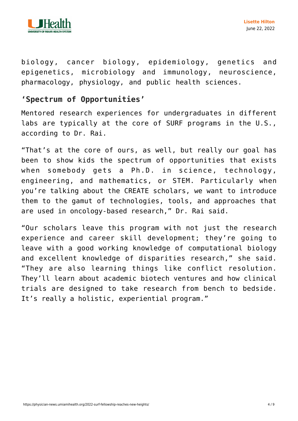

biology, cancer biology, epidemiology, genetics and epigenetics, microbiology and immunology, neuroscience, pharmacology, physiology, and public health sciences.

# **'Spectrum of Opportunities'**

Mentored research experiences for undergraduates in different labs are typically at the core of SURF programs in the U.S., according to Dr. Rai.

"That's at the core of ours, as well, but really our goal has been to show kids the spectrum of opportunities that exists when somebody gets a Ph.D. in science, technology, engineering, and mathematics, or STEM. Particularly when you're talking about the CREATE scholars, we want to introduce them to the gamut of technologies, tools, and approaches that are used in oncology-based research," Dr. Rai said.

"Our scholars leave this program with not just the research experience and career skill development; they're going to leave with a good working knowledge of computational biology and excellent knowledge of disparities research," she said. "They are also learning things like conflict resolution. They'll learn about academic biotech ventures and how clinical trials are designed to take research from bench to bedside. It's really a holistic, experiential program."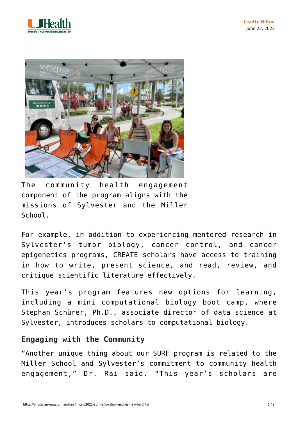



The community health engagement component of the program aligns with the missions of Sylvester and the Miller School.

For example, in addition to experiencing mentored research in Sylvester's tumor biology, cancer control, and cancer epigenetics programs, CREATE scholars have access to training in how to write, present science, and read, review, and critique scientific literature effectively.

This year's program features new options for learning, including a mini computational biology boot camp, where Stephan Schürer, Ph.D., associate director of data science at Sylvester, introduces scholars to computational biology.

# **Engaging with the Community**

"Another unique thing about our SURF program is related to the Miller School and Sylvester's commitment to community health engagement," Dr. Rai said. "This year's scholars are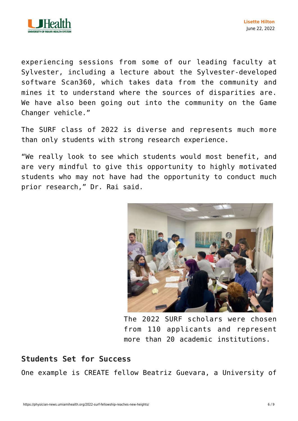

experiencing sessions from some of our leading faculty at Sylvester, including a lecture about the Sylvester-developed software Scan360, which takes data from the community and mines it to understand where the sources of disparities are. We have also been going out into the community on the Game Changer vehicle."

The SURF class of 2022 is diverse and represents much more than only students with strong research experience.

"We really look to see which students would most benefit, and are very mindful to give this opportunity to highly motivated students who may not have had the opportunity to conduct much prior research," Dr. Rai said.



The 2022 SURF scholars were chosen from 110 applicants and represent more than 20 academic institutions.

### **Students Set for Success**

One example is CREATE fellow Beatriz Guevara, a University of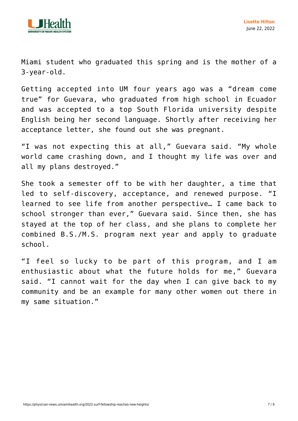

Miami student who graduated this spring and is the mother of a 3-year-old.

Getting accepted into UM four years ago was a "dream come true" for Guevara, who graduated from high school in Ecuador and was accepted to a top South Florida university despite English being her second language. Shortly after receiving her acceptance letter, she found out she was pregnant.

"I was not expecting this at all," Guevara said. "My whole world came crashing down, and I thought my life was over and all my plans destroyed."

She took a semester off to be with her daughter, a time that led to self-discovery, acceptance, and renewed purpose. "I learned to see life from another perspective… I came back to school stronger than ever," Guevara said. Since then, she has stayed at the top of her class, and she plans to complete her combined B.S./M.S. program next year and apply to graduate school.

"I feel so lucky to be part of this program, and I am enthusiastic about what the future holds for me," Guevara said. "I cannot wait for the day when I can give back to my community and be an example for many other women out there in my same situation."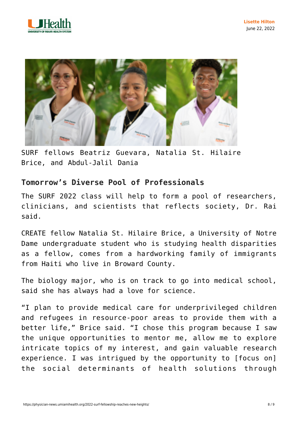



SURF fellows Beatriz Guevara, Natalia St. Hilaire Brice, and Abdul-Jalil Dania

# **Tomorrow's Diverse Pool of Professionals**

The SURF 2022 class will help to form a pool of researchers, clinicians, and scientists that reflects society, Dr. Rai said.

CREATE fellow Natalia St. Hilaire Brice, a University of Notre Dame undergraduate student who is studying health disparities as a fellow, comes from a hardworking family of immigrants from Haiti who live in Broward County.

The biology major, who is on track to go into medical school, said she has always had a love for science.

"I plan to provide medical care for underprivileged children and refugees in resource-poor areas to provide them with a better life," Brice said. "I chose this program because I saw the unique opportunities to mentor me, allow me to explore intricate topics of my interest, and gain valuable research experience. I was intrigued by the opportunity to [focus on] the social determinants of health solutions through